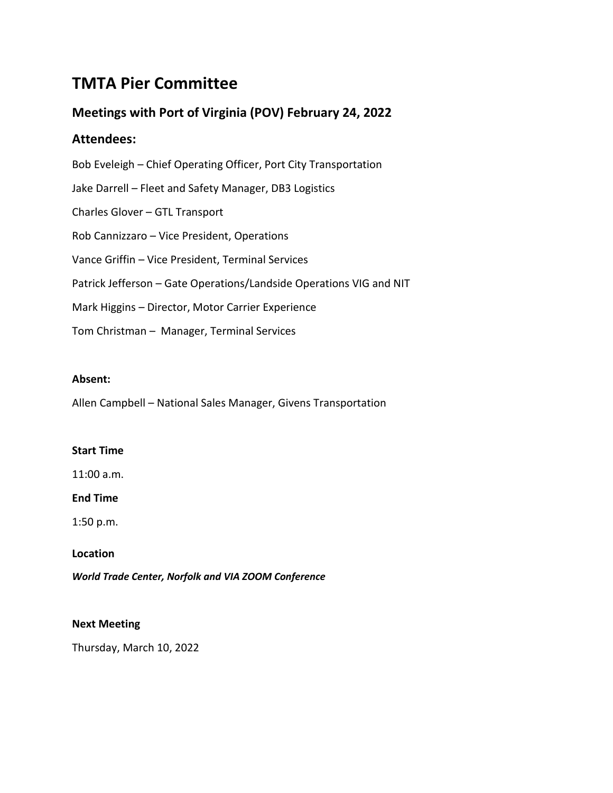# **TMTA Pier Committee**

# **Meetings with Port of Virginia (POV) February 24, 2022**

# **Attendees:**

Bob Eveleigh – Chief Operating Officer, Port City Transportation Jake Darrell – Fleet and Safety Manager, DB3 Logistics Charles Glover – GTL Transport Rob Cannizzaro – Vice President, Operations Vance Griffin – Vice President, Terminal Services Patrick Jefferson – Gate Operations/Landside Operations VIG and NIT Mark Higgins – Director, Motor Carrier Experience Tom Christman – Manager, Terminal Services

# **Absent:**

Allen Campbell – National Sales Manager, Givens Transportation

# **Start Time**

11:00 a.m.

# **End Time**

1:50 p.m.

# **Location**

*World Trade Center, Norfolk and VIA ZOOM Conference*

# **Next Meeting**

Thursday, March 10, 2022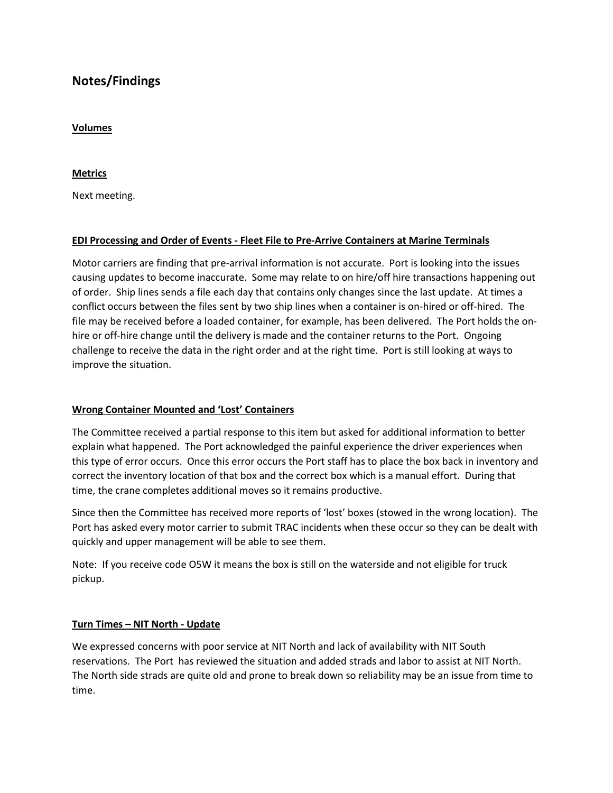# **Notes/Findings**

### **Volumes**

**Metrics**

Next meeting.

# **EDI Processing and Order of Events - Fleet File to Pre-Arrive Containers at Marine Terminals**

Motor carriers are finding that pre-arrival information is not accurate. Port is looking into the issues causing updates to become inaccurate. Some may relate to on hire/off hire transactions happening out of order. Ship lines sends a file each day that contains only changes since the last update. At times a conflict occurs between the files sent by two ship lines when a container is on-hired or off-hired. The file may be received before a loaded container, for example, has been delivered. The Port holds the onhire or off-hire change until the delivery is made and the container returns to the Port. Ongoing challenge to receive the data in the right order and at the right time. Port is still looking at ways to improve the situation.

### **Wrong Container Mounted and 'Lost' Containers**

The Committee received a partial response to this item but asked for additional information to better explain what happened. The Port acknowledged the painful experience the driver experiences when this type of error occurs. Once this error occurs the Port staff has to place the box back in inventory and correct the inventory location of that box and the correct box which is a manual effort. During that time, the crane completes additional moves so it remains productive.

Since then the Committee has received more reports of 'lost' boxes (stowed in the wrong location). The Port has asked every motor carrier to submit TRAC incidents when these occur so they can be dealt with quickly and upper management will be able to see them.

Note: If you receive code O5W it means the box is still on the waterside and not eligible for truck pickup.

# **Turn Times – NIT North - Update**

We expressed concerns with poor service at NIT North and lack of availability with NIT South reservations. The Port has reviewed the situation and added strads and labor to assist at NIT North. The North side strads are quite old and prone to break down so reliability may be an issue from time to time.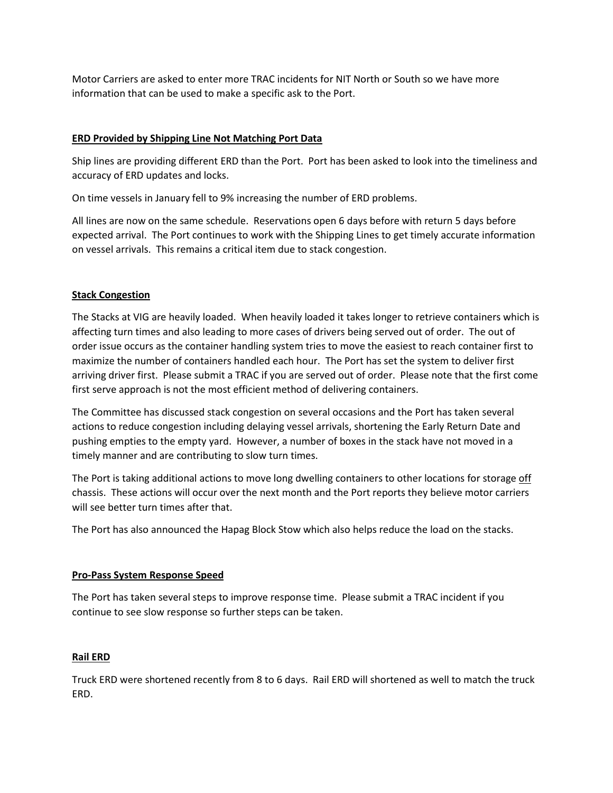Motor Carriers are asked to enter more TRAC incidents for NIT North or South so we have more information that can be used to make a specific ask to the Port.

# **ERD Provided by Shipping Line Not Matching Port Data**

Ship lines are providing different ERD than the Port. Port has been asked to look into the timeliness and accuracy of ERD updates and locks.

On time vessels in January fell to 9% increasing the number of ERD problems.

All lines are now on the same schedule. Reservations open 6 days before with return 5 days before expected arrival. The Port continues to work with the Shipping Lines to get timely accurate information on vessel arrivals. This remains a critical item due to stack congestion.

# **Stack Congestion**

The Stacks at VIG are heavily loaded. When heavily loaded it takes longer to retrieve containers which is affecting turn times and also leading to more cases of drivers being served out of order. The out of order issue occurs as the container handling system tries to move the easiest to reach container first to maximize the number of containers handled each hour. The Port has set the system to deliver first arriving driver first. Please submit a TRAC if you are served out of order. Please note that the first come first serve approach is not the most efficient method of delivering containers.

The Committee has discussed stack congestion on several occasions and the Port has taken several actions to reduce congestion including delaying vessel arrivals, shortening the Early Return Date and pushing empties to the empty yard. However, a number of boxes in the stack have not moved in a timely manner and are contributing to slow turn times.

The Port is taking additional actions to move long dwelling containers to other locations for storage off chassis. These actions will occur over the next month and the Port reports they believe motor carriers will see better turn times after that.

The Port has also announced the Hapag Block Stow which also helps reduce the load on the stacks.

### **Pro-Pass System Response Speed**

The Port has taken several steps to improve response time. Please submit a TRAC incident if you continue to see slow response so further steps can be taken.

### **Rail ERD**

Truck ERD were shortened recently from 8 to 6 days. Rail ERD will shortened as well to match the truck ERD.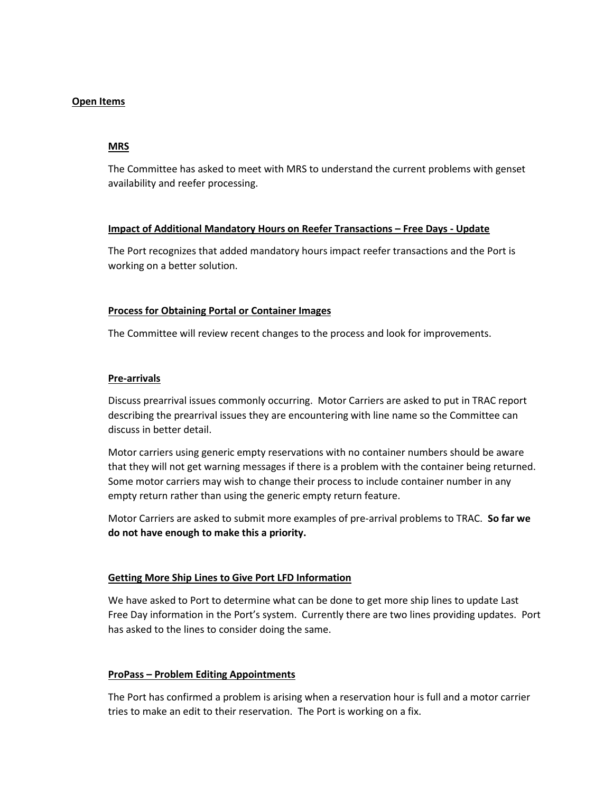### **Open Items**

#### **MRS**

The Committee has asked to meet with MRS to understand the current problems with genset availability and reefer processing.

### **Impact of Additional Mandatory Hours on Reefer Transactions – Free Days - Update**

The Port recognizes that added mandatory hours impact reefer transactions and the Port is working on a better solution.

#### **Process for Obtaining Portal or Container Images**

The Committee will review recent changes to the process and look for improvements.

#### **Pre-arrivals**

Discuss prearrival issues commonly occurring. Motor Carriers are asked to put in TRAC report describing the prearrival issues they are encountering with line name so the Committee can discuss in better detail.

Motor carriers using generic empty reservations with no container numbers should be aware that they will not get warning messages if there is a problem with the container being returned. Some motor carriers may wish to change their process to include container number in any empty return rather than using the generic empty return feature.

Motor Carriers are asked to submit more examples of pre-arrival problems to TRAC. **So far we do not have enough to make this a priority.**

#### **Getting More Ship Lines to Give Port LFD Information**

We have asked to Port to determine what can be done to get more ship lines to update Last Free Day information in the Port's system. Currently there are two lines providing updates. Port has asked to the lines to consider doing the same.

### **ProPass – Problem Editing Appointments**

The Port has confirmed a problem is arising when a reservation hour is full and a motor carrier tries to make an edit to their reservation. The Port is working on a fix.